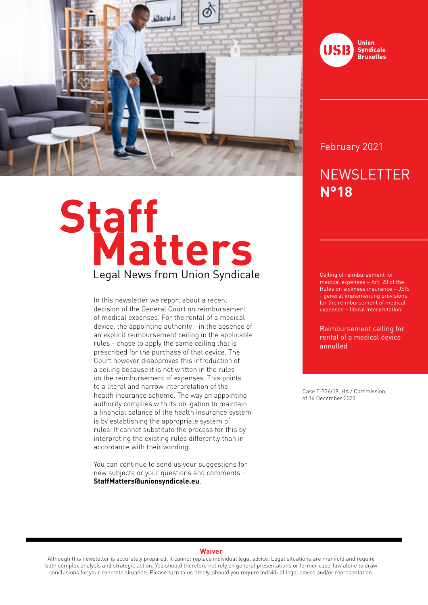

# Staff<br>Legal News from Union Syndicale

In this newsletter we report about a recent decision of the General Court on reimbursement of medical expenses. For the rental of a medical device, the appointing authority - in the absence of an explicit reimbursement ceiling in the applicable rules - chose to apply the same ceiling that is prescribed for the purchase of that device. The Court however disapproves this introduction of a ceiling because it is not written in the rules on the reimbursement of expenses. This points to a literal and narrow interpretation of the health insurance scheme. The way an appointing authority complies with its obligation to maintain a financial balance of the health insurance system is by establishing the appropriate system of rules. It cannot substitute the process for this by interpreting the existing rules differently than in accordance with their wording.

You can continue to send us your suggestions for new subjects or your questions and comments : **StaffMatters@unionsyndicale.eu**.



## February 2021

# **NEWSLETTER N°18**

Ceiling of reimbursement for medical expenses – Art. 20 of the Rules on sickness insurance – JSIS - general implementing provisions for the reimbursement of medical expenses – literal interpretation

Reimbursement ceiling for rental of a medical device annulled

Case T-736/19, HA / Commission, of 16 December 2020

### **Waiver**

Although this newsletter is accurately prepared, it cannot replace individual legal advice. Legal situations are manifold and require both complex analysis and strategic action. You should therefore not rely on general presentations or former case-law alone to draw conclusions for your concrete situation. Please turn to us timely, should you require individual legal advice and/or representation.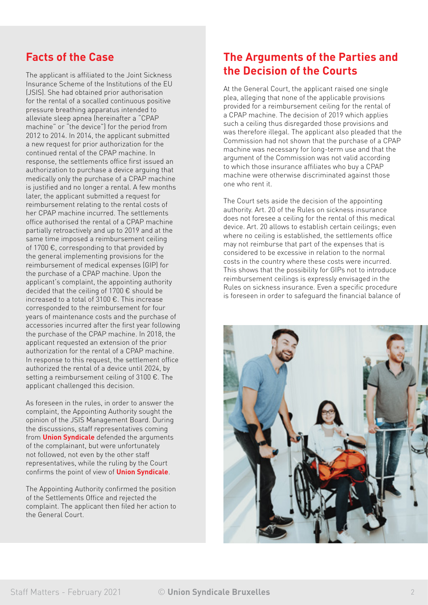# **Facts of the Case**

The applicant is affiliated to the Joint Sickness Insurance Scheme of the Institutions of the EU (JSIS). She had obtained prior authorisation for the rental of a socalled continuous positive pressure breathing apparatus intended to alleviate sleep apnea (hereinafter a "CPAP machine" or "the device") for the period from 2012 to 2014. In 2014, the applicant submitted a new request for prior authorization for the continued rental of the CPAP machine. In response, the settlements office first issued an authorization to purchase a device arguing that medically only the purchase of a CPAP machine is justified and no longer a rental. A few months later, the applicant submitted a request for reimbursement relating to the rental costs of her CPAP machine incurred. The settlements office authorised the rental of a CPAP machine partially retroactively and up to 2019 and at the same time imposed a reimbursement ceiling of 1700 €, corresponding to that provided by the general implementing provisions for the reimbursement of medical expenses (GIP) for the purchase of a CPAP machine. Upon the applicant's complaint, the appointing authority decided that the ceiling of 1700 € should be increased to a total of 3100 €. This increase corresponded to the reimbursement for four years of maintenance costs and the purchase of accessories incurred after the first year following the purchase of the CPAP machine. In 2018, the applicant requested an extension of the prior authorization for the rental of a CPAP machine. In response to this request, the settlement office authorized the rental of a device until 2024, by setting a reimbursement ceiling of 3100 €. The applicant challenged this decision.

As foreseen in the rules, in order to answer the complaint, the Appointing Authority sought the opinion of the JSIS Management Board. During the discussions, staff representatives coming from **Union Syndicale** defended the arguments of the complainant, but were unfortunately not followed, not even by the other staff representatives, while the ruling by the Court confirms the point of view of **Union Syndicale**.

The Appointing Authority confirmed the position of the Settlements Office and rejected the complaint. The applicant then filed her action to the General Court.

# **The Arguments of the Parties and the Decision of the Courts**

At the General Court, the applicant raised one single plea, alleging that none of the applicable provisions provided for a reimbursement ceiling for the rental of a CPAP machine. The decision of 2019 which applies such a ceiling thus disregarded those provisions and was therefore illegal. The applicant also pleaded that the Commission had not shown that the purchase of a CPAP machine was necessary for long-term use and that the argument of the Commission was not valid according to which those insurance affiliates who buy a CPAP machine were otherwise discriminated against those one who rent it.

The Court sets aside the decision of the appointing authority. Art. 20 of the Rules on sickness insurance does not foresee a ceiling for the rental of this medical device. Art. 20 allows to establish certain ceilings; even where no ceiling is established, the settlements office may not reimburse that part of the expenses that is considered to be excessive in relation to the normal costs in the country where these costs were incurred. This shows that the possibility for GIPs not to introduce reimbursement ceilings is expressly envisaged in the Rules on sickness insurance. Even a specific procedure is foreseen in order to safeguard the financial balance of

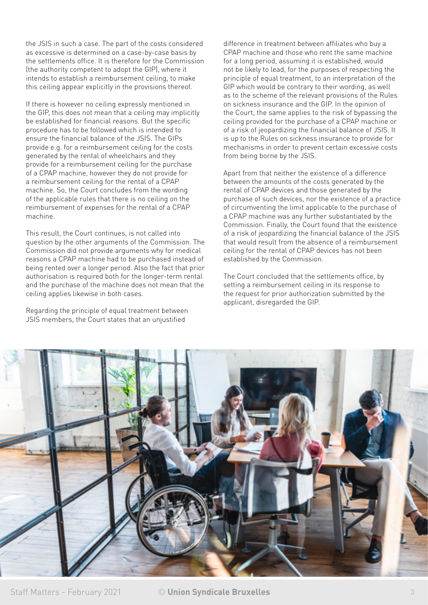the JSIS in such a case. The part of the costs considered as excessive is determined on a case-by-case basis by the settlements office. It is therefore for the Commission (the authority competent to adopt the GIP), where it intends to establish a reimbursement ceiling, to make this ceiling appear explicitly in the provisions thereof.

If there is however no ceiling expressly mentioned in the GIP, this does not mean that a ceiling may implicitly be established for financial reasons. But the specific procedure has to be followed which is intended to ensure the financial balance of the JSIS. The GIPs provide e.g. for a reimbursement ceiling for the costs generated by the rental of wheelchairs and they provide for a reimbursement ceiling for the purchase of a CPAP machine, however they do not provide for a reimbursement ceiling for the rental of a CPAP machine. So, the Court concludes from the wording of the applicable rules that there is no ceiling on the reimbursement of expenses for the rental of a CPAP machine.

This result, the Court continues, is not called into question by the other arguments of the Commission. The Commission did not provide arguments why for medical reasons a CPAP machine had to be purchased instead of being rented over a longer period. Also the fact that prior authorisation is required both for the longer-term rental and the purchase of the machine does not mean that the ceiling applies likewise in both cases.

Regarding the principle of equal treatment between JSIS members, the Court states that an unjustified

difference in treatment between affiliates who buy a CPAP machine and those who rent the same machine for a long period, assuming it is established, would not be likely to lead, for the purposes of respecting the principle of equal treatment, to an interpretation of the GIP which would be contrary to their wording, as well as to the scheme of the relevant provisions of the Rules on sickness insurance and the GIP. In the opinion of the Court, the same applies to the risk of bypassing the ceiling provided for the purchase of a CPAP machine or of a risk of jeopardizing the financial balance of JSIS. It is up to the Rules on sickness insurance to provide for mechanisms in order to prevent certain excessive costs from being borne by the JSIS.

Apart from that neither the existence of a difference between the amounts of the costs generated by the rental of CPAP devices and those generated by the purchase of such devices, nor the existence of a practice of circumventing the limit applicable to the purchase of a CPAP machine was any further substantiated by the Commission. Finally, the Court found that the existence of a risk of jeopardizing the financial balance of the JSIS that would result from the absence of a reimbursement ceiling for the rental of CPAP devices has not been established by the Commission.

The Court concluded that the settlements office, by setting a reimbursement ceiling in its response to the request for prior authorization submitted by the applicant, disregarded the GIP.